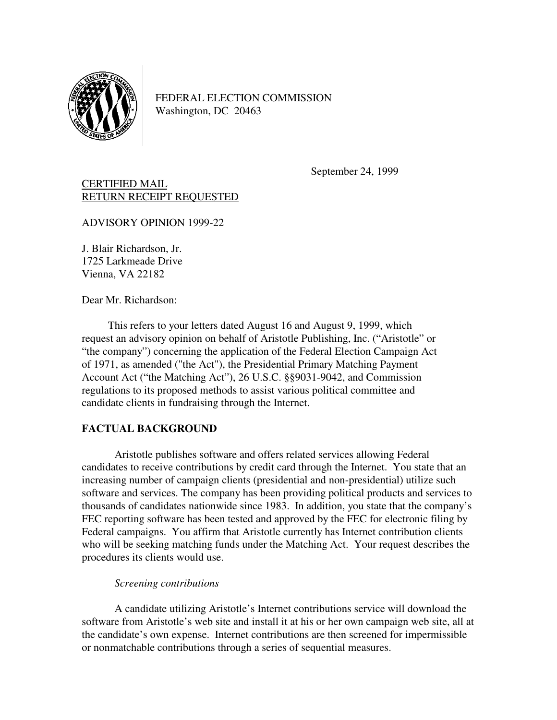

FEDERAL ELECTION COMMISSION Washington, DC 20463

September 24, 1999

# CERTIFIED MAIL RETURN RECEIPT REQUESTED

ADVISORY OPINION 1999-22

J. Blair Richardson, Jr. 1725 Larkmeade Drive Vienna, VA 22182

Dear Mr. Richardson:

This refers to your letters dated August 16 and August 9, 1999, which request an advisory opinion on behalf of Aristotle Publishing, Inc. ("Aristotle" or "the company") concerning the application of the Federal Election Campaign Act of 1971, as amended ("the Act"), the Presidential Primary Matching Payment Account Act ("the Matching Act"), 26 U.S.C. §§9031-9042, and Commission regulations to its proposed methods to assist various political committee and candidate clients in fundraising through the Internet.

### **FACTUAL BACKGROUND**

 Aristotle publishes software and offers related services allowing Federal candidates to receive contributions by credit card through the Internet. You state that an increasing number of campaign clients (presidential and non-presidential) utilize such software and services. The company has been providing political products and services to thousands of candidates nationwide since 1983. In addition, you state that the company's FEC reporting software has been tested and approved by the FEC for electronic filing by Federal campaigns. You affirm that Aristotle currently has Internet contribution clients who will be seeking matching funds under the Matching Act. Your request describes the procedures its clients would use.

### *Screening contributions*

 A candidate utilizing Aristotle's Internet contributions service will download the software from Aristotle's web site and install it at his or her own campaign web site, all at the candidate's own expense. Internet contributions are then screened for impermissible or nonmatchable contributions through a series of sequential measures.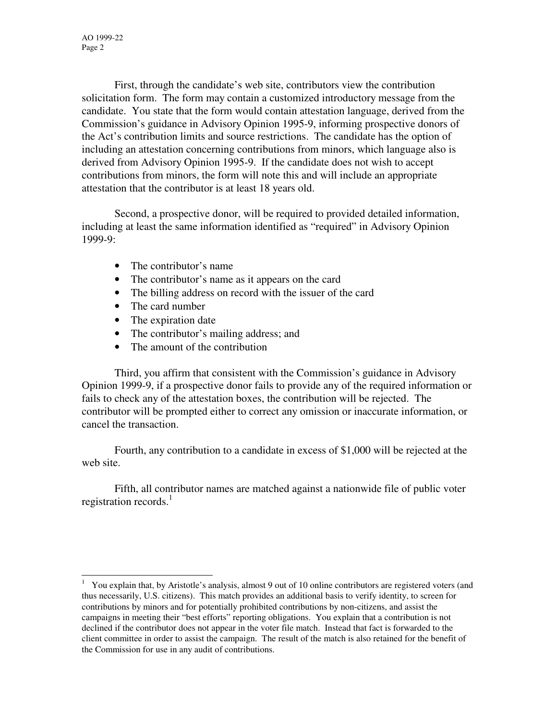First, through the candidate's web site, contributors view the contribution solicitation form. The form may contain a customized introductory message from the candidate. You state that the form would contain attestation language, derived from the Commission's guidance in Advisory Opinion 1995-9, informing prospective donors of the Act's contribution limits and source restrictions. The candidate has the option of including an attestation concerning contributions from minors, which language also is derived from Advisory Opinion 1995-9. If the candidate does not wish to accept contributions from minors, the form will note this and will include an appropriate attestation that the contributor is at least 18 years old.

 Second, a prospective donor, will be required to provided detailed information, including at least the same information identified as "required" in Advisory Opinion 1999-9:

- The contributor's name
- The contributor's name as it appears on the card
- The billing address on record with the issuer of the card
- The card number
- The expiration date
- The contributor's mailing address; and
- The amount of the contribution

 Third, you affirm that consistent with the Commission's guidance in Advisory Opinion 1999-9, if a prospective donor fails to provide any of the required information or fails to check any of the attestation boxes, the contribution will be rejected. The contributor will be prompted either to correct any omission or inaccurate information, or cancel the transaction.

 Fourth, any contribution to a candidate in excess of \$1,000 will be rejected at the web site.

 Fifth, all contributor names are matched against a nationwide file of public voter registration records. $<sup>1</sup>$ </sup>

<sup>1</sup> You explain that, by Aristotle's analysis, almost 9 out of 10 online contributors are registered voters (and thus necessarily, U.S. citizens). This match provides an additional basis to verify identity, to screen for contributions by minors and for potentially prohibited contributions by non-citizens, and assist the campaigns in meeting their "best efforts" reporting obligations. You explain that a contribution is not declined if the contributor does not appear in the voter file match. Instead that fact is forwarded to the client committee in order to assist the campaign. The result of the match is also retained for the benefit of the Commission for use in any audit of contributions.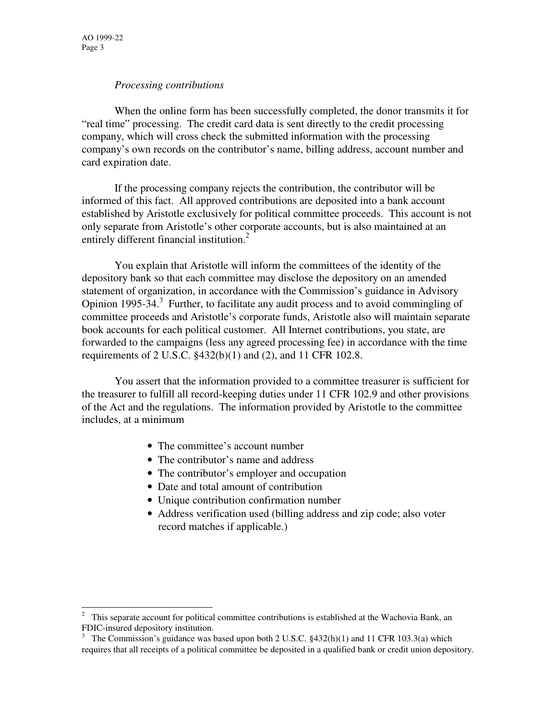### *Processing contributions*

When the online form has been successfully completed, the donor transmits it for "real time" processing. The credit card data is sent directly to the credit processing company, which will cross check the submitted information with the processing company's own records on the contributor's name, billing address, account number and card expiration date.

 If the processing company rejects the contribution, the contributor will be informed of this fact. All approved contributions are deposited into a bank account established by Aristotle exclusively for political committee proceeds. This account is not only separate from Aristotle's other corporate accounts, but is also maintained at an entirely different financial institution.<sup>2</sup>

 You explain that Aristotle will inform the committees of the identity of the depository bank so that each committee may disclose the depository on an amended statement of organization, in accordance with the Commission's guidance in Advisory Opinion 1995-34.<sup>3</sup> Further, to facilitate any audit process and to avoid commingling of committee proceeds and Aristotle's corporate funds, Aristotle also will maintain separate book accounts for each political customer. All Internet contributions, you state, are forwarded to the campaigns (less any agreed processing fee) in accordance with the time requirements of 2 U.S.C. §432(b)(1) and (2), and 11 CFR 102.8.

You assert that the information provided to a committee treasurer is sufficient for the treasurer to fulfill all record-keeping duties under 11 CFR 102.9 and other provisions of the Act and the regulations. The information provided by Aristotle to the committee includes, at a minimum

- The committee's account number
- The contributor's name and address
- The contributor's employer and occupation
- Date and total amount of contribution
- Unique contribution confirmation number
- Address verification used (billing address and zip code; also voter record matches if applicable.)

 $2$  This separate account for political committee contributions is established at the Wachovia Bank, an FDIC-insured depository institution.

<sup>&</sup>lt;sup>3</sup> The Commission's guidance was based upon both 2 U.S.C.  $$432(h)(1)$  and 11 CFR 103.3(a) which requires that all receipts of a political committee be deposited in a qualified bank or credit union depository.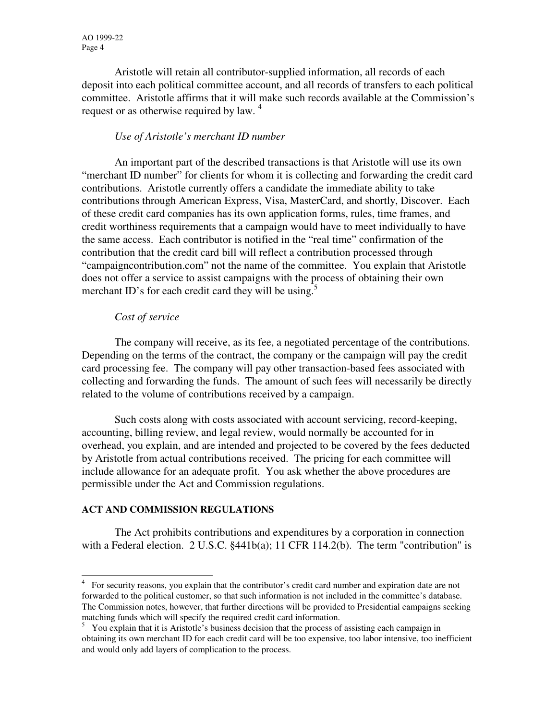Aristotle will retain all contributor-supplied information, all records of each deposit into each political committee account, and all records of transfers to each political committee. Aristotle affirms that it will make such records available at the Commission's request or as otherwise required by law.<sup>4</sup>

## *Use of Aristotle's merchant ID number*

An important part of the described transactions is that Aristotle will use its own "merchant ID number" for clients for whom it is collecting and forwarding the credit card contributions. Aristotle currently offers a candidate the immediate ability to take contributions through American Express, Visa, MasterCard, and shortly, Discover. Each of these credit card companies has its own application forms, rules, time frames, and credit worthiness requirements that a campaign would have to meet individually to have the same access. Each contributor is notified in the "real time" confirmation of the contribution that the credit card bill will reflect a contribution processed through "campaigncontribution.com" not the name of the committee. You explain that Aristotle does not offer a service to assist campaigns with the process of obtaining their own merchant ID's for each credit card they will be using.<sup>5</sup>

### *Cost of service*

 The company will receive, as its fee, a negotiated percentage of the contributions. Depending on the terms of the contract, the company or the campaign will pay the credit card processing fee. The company will pay other transaction-based fees associated with collecting and forwarding the funds. The amount of such fees will necessarily be directly related to the volume of contributions received by a campaign.

 Such costs along with costs associated with account servicing, record-keeping, accounting, billing review, and legal review, would normally be accounted for in overhead, you explain, and are intended and projected to be covered by the fees deducted by Aristotle from actual contributions received. The pricing for each committee will include allowance for an adequate profit. You ask whether the above procedures are permissible under the Act and Commission regulations.

### **ACT AND COMMISSION REGULATIONS**

-

The Act prohibits contributions and expenditures by a corporation in connection with a Federal election. 2 U.S.C.  $§441b(a); 11 \text{ CFR } 114.2(b)$ . The term "contribution" is

<sup>&</sup>lt;sup>4</sup> For security reasons, you explain that the contributor's credit card number and expiration date are not forwarded to the political customer, so that such information is not included in the committee's database. The Commission notes, however, that further directions will be provided to Presidential campaigns seeking matching funds which will specify the required credit card information.

<sup>&</sup>lt;sup>5</sup> You explain that it is Aristotle's business decision that the process of assisting each campaign in obtaining its own merchant ID for each credit card will be too expensive, too labor intensive, too inefficient and would only add layers of complication to the process.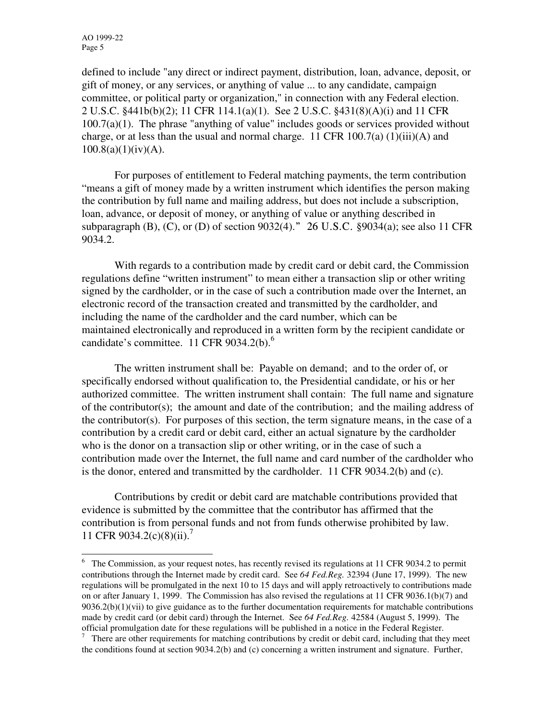defined to include "any direct or indirect payment, distribution, loan, advance, deposit, or gift of money, or any services, or anything of value ... to any candidate, campaign committee, or political party or organization," in connection with any Federal election. 2 U.S.C. §441b(b)(2); 11 CFR 114.1(a)(1). See 2 U.S.C. §431(8)(A)(i) and 11 CFR 100.7(a)(1). The phrase "anything of value" includes goods or services provided without charge, or at less than the usual and normal charge. 11 CFR  $100.7(a)$  (1)(iii)(A) and  $100.8(a)(1)(iv)(A)$ .

For purposes of entitlement to Federal matching payments, the term contribution "means a gift of money made by a written instrument which identifies the person making the contribution by full name and mailing address, but does not include a subscription, loan, advance, or deposit of money, or anything of value or anything described in subparagraph (B), (C), or (D) of section  $9032(4)$ ." 26 U.S.C. §9034(a); see also 11 CFR 9034.2.

With regards to a contribution made by credit card or debit card, the Commission regulations define "written instrument" to mean either a transaction slip or other writing signed by the cardholder, or in the case of such a contribution made over the Internet, an electronic record of the transaction created and transmitted by the cardholder, and including the name of the cardholder and the card number, which can be maintained electronically and reproduced in a written form by the recipient candidate or candidate's committee. 11 CFR 9034.2(b). $<sup>6</sup>$ </sup>

 The written instrument shall be: Payable on demand; and to the order of, or specifically endorsed without qualification to, the Presidential candidate, or his or her authorized committee. The written instrument shall contain: The full name and signature of the contributor(s); the amount and date of the contribution; and the mailing address of the contributor(s). For purposes of this section, the term signature means, in the case of a contribution by a credit card or debit card, either an actual signature by the cardholder who is the donor on a transaction slip or other writing, or in the case of such a contribution made over the Internet, the full name and card number of the cardholder who is the donor, entered and transmitted by the cardholder. 11 CFR 9034.2(b) and (c).

 Contributions by credit or debit card are matchable contributions provided that evidence is submitted by the committee that the contributor has affirmed that the contribution is from personal funds and not from funds otherwise prohibited by law. 11 CFR 9034.2(c)(8)(ii).<sup>7</sup>

<sup>&</sup>lt;sup>6</sup> The Commission, as your request notes, has recently revised its regulations at 11 CFR 9034.2 to permit contributions through the Internet made by credit card. See *64 Fed.Reg.* 32394 (June 17, 1999). The new regulations will be promulgated in the next 10 to 15 days and will apply retroactively to contributions made on or after January 1, 1999. The Commission has also revised the regulations at 11 CFR 9036.1(b)(7) and  $9036.2(b)(1)(vii)$  to give guidance as to the further documentation requirements for matchable contributions made by credit card (or debit card) through the Internet. See *64 Fed.Reg.* 42584 (August 5, 1999). The official promulgation date for these regulations will be published in a notice in the Federal Register.

 $7$  There are other requirements for matching contributions by credit or debit card, including that they meet the conditions found at section 9034.2(b) and (c) concerning a written instrument and signature. Further,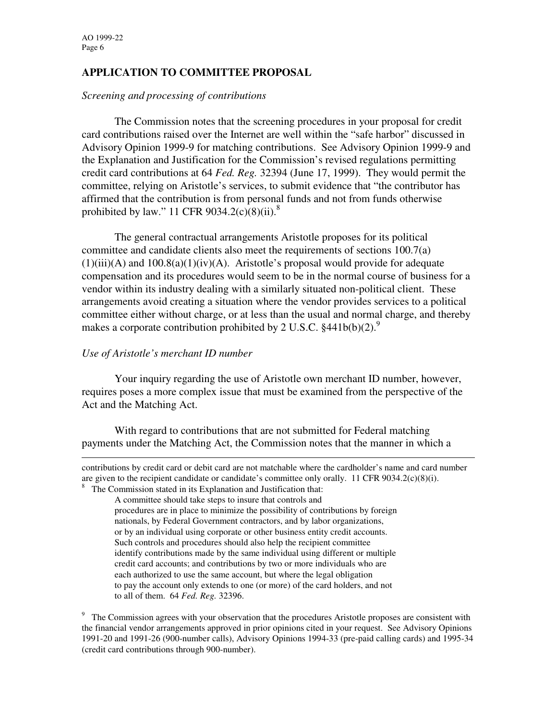# **APPLICATION TO COMMITTEE PROPOSAL**

#### *Screening and processing of contributions*

 The Commission notes that the screening procedures in your proposal for credit card contributions raised over the Internet are well within the "safe harbor" discussed in Advisory Opinion 1999-9 for matching contributions. See Advisory Opinion 1999-9 and the Explanation and Justification for the Commission's revised regulations permitting credit card contributions at 64 *Fed. Reg.* 32394 (June 17, 1999). They would permit the committee, relying on Aristotle's services, to submit evidence that "the contributor has affirmed that the contribution is from personal funds and not from funds otherwise prohibited by law." 11 CFR 9034.2(c)(8)(ii).<sup>8</sup>

 The general contractual arrangements Aristotle proposes for its political committee and candidate clients also meet the requirements of sections 100.7(a)  $(1)(iii)(A)$  and  $100.8(a)(1)(iv)(A)$ . Aristotle's proposal would provide for adequate compensation and its procedures would seem to be in the normal course of business for a vendor within its industry dealing with a similarly situated non-political client. These arrangements avoid creating a situation where the vendor provides services to a political committee either without charge, or at less than the usual and normal charge, and thereby makes a corporate contribution prohibited by 2 U.S.C.  $§441b(b)(2).$ <sup>9</sup>

### *Use of Aristotle's merchant ID number*

Your inquiry regarding the use of Aristotle own merchant ID number, however, requires poses a more complex issue that must be examined from the perspective of the Act and the Matching Act.

With regard to contributions that are not submitted for Federal matching payments under the Matching Act, the Commission notes that the manner in which a

<sup>8</sup> The Commission stated in its Explanation and Justification that:

contributions by credit card or debit card are not matchable where the cardholder's name and card number are given to the recipient candidate or candidate's committee only orally. 11 CFR 9034.2(c)(8)(i).

A committee should take steps to insure that controls and procedures are in place to minimize the possibility of contributions by foreign nationals, by Federal Government contractors, and by labor organizations, or by an individual using corporate or other business entity credit accounts. Such controls and procedures should also help the recipient committee identify contributions made by the same individual using different or multiple credit card accounts; and contributions by two or more individuals who are each authorized to use the same account, but where the legal obligation to pay the account only extends to one (or more) of the card holders, and not to all of them. 64 *Fed. Reg.* 32396.

<sup>&</sup>lt;sup>9</sup> The Commission agrees with your observation that the procedures Aristotle proposes are consistent with the financial vendor arrangements approved in prior opinions cited in your request. See Advisory Opinions 1991-20 and 1991-26 (900-number calls), Advisory Opinions 1994-33 (pre-paid calling cards) and 1995-34 (credit card contributions through 900-number).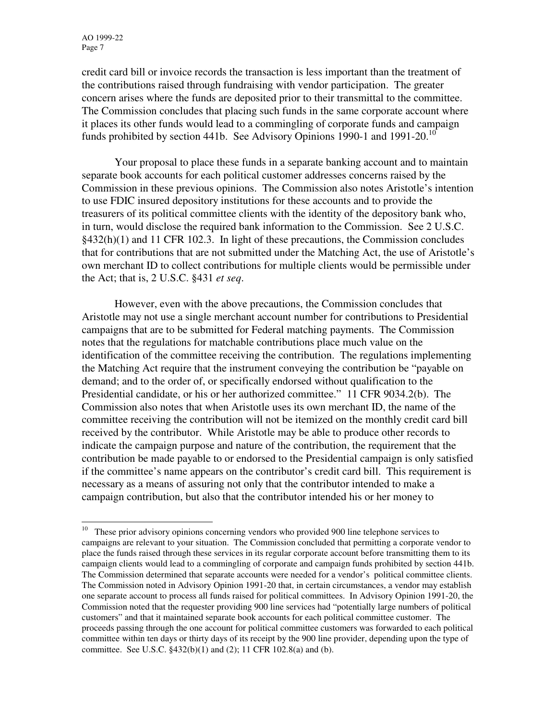credit card bill or invoice records the transaction is less important than the treatment of the contributions raised through fundraising with vendor participation. The greater concern arises where the funds are deposited prior to their transmittal to the committee. The Commission concludes that placing such funds in the same corporate account where it places its other funds would lead to a commingling of corporate funds and campaign funds prohibited by section 441b. See Advisory Opinions 1990-1 and 1991-20.<sup>10</sup>

Your proposal to place these funds in a separate banking account and to maintain separate book accounts for each political customer addresses concerns raised by the Commission in these previous opinions. The Commission also notes Aristotle's intention to use FDIC insured depository institutions for these accounts and to provide the treasurers of its political committee clients with the identity of the depository bank who, in turn, would disclose the required bank information to the Commission. See 2 U.S.C. §432(h)(1) and 11 CFR 102.3. In light of these precautions, the Commission concludes that for contributions that are not submitted under the Matching Act, the use of Aristotle's own merchant ID to collect contributions for multiple clients would be permissible under the Act; that is, 2 U.S.C. §431 *et seq*.

However, even with the above precautions, the Commission concludes that Aristotle may not use a single merchant account number for contributions to Presidential campaigns that are to be submitted for Federal matching payments. The Commission notes that the regulations for matchable contributions place much value on the identification of the committee receiving the contribution. The regulations implementing the Matching Act require that the instrument conveying the contribution be "payable on demand; and to the order of, or specifically endorsed without qualification to the Presidential candidate, or his or her authorized committee." 11 CFR 9034.2(b). The Commission also notes that when Aristotle uses its own merchant ID, the name of the committee receiving the contribution will not be itemized on the monthly credit card bill received by the contributor. While Aristotle may be able to produce other records to indicate the campaign purpose and nature of the contribution, the requirement that the contribution be made payable to or endorsed to the Presidential campaign is only satisfied if the committee's name appears on the contributor's credit card bill. This requirement is necessary as a means of assuring not only that the contributor intended to make a campaign contribution, but also that the contributor intended his or her money to

 $10$  These prior advisory opinions concerning vendors who provided 900 line telephone services to campaigns are relevant to your situation. The Commission concluded that permitting a corporate vendor to place the funds raised through these services in its regular corporate account before transmitting them to its campaign clients would lead to a commingling of corporate and campaign funds prohibited by section 441b. The Commission determined that separate accounts were needed for a vendor's political committee clients. The Commission noted in Advisory Opinion 1991-20 that, in certain circumstances, a vendor may establish one separate account to process all funds raised for political committees. In Advisory Opinion 1991-20, the Commission noted that the requester providing 900 line services had "potentially large numbers of political customers" and that it maintained separate book accounts for each political committee customer. The proceeds passing through the one account for political committee customers was forwarded to each political committee within ten days or thirty days of its receipt by the 900 line provider, depending upon the type of committee. See U.S.C. §432(b)(1) and (2); 11 CFR 102.8(a) and (b).